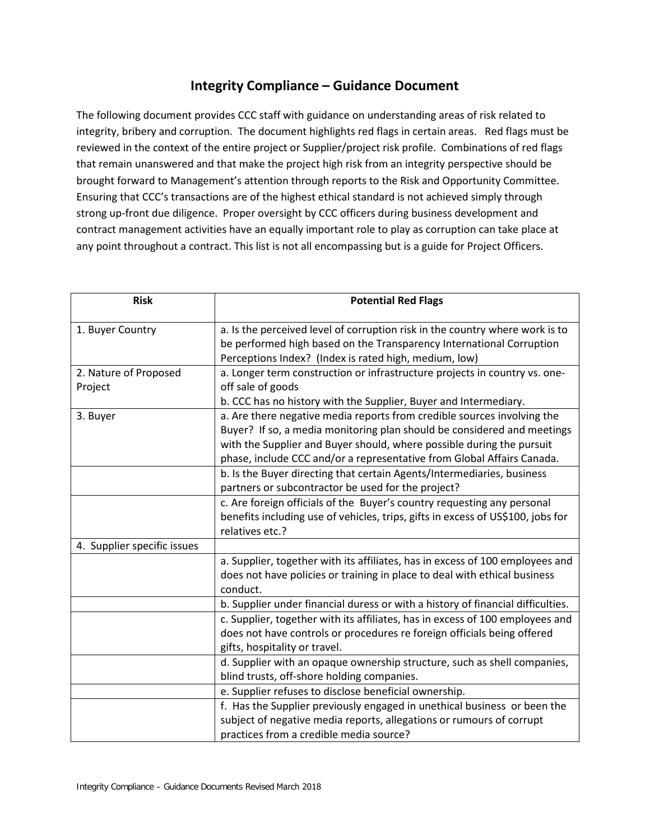## **Integrity Compliance – Guidance Document**

The following document provides CCC staff with guidance on understanding areas of risk related to integrity, bribery and corruption. The document highlights red flags in certain areas. Red flags must be reviewed in the context of the entire project or Supplier/project risk profile. Combinations of red flags that remain unanswered and that make the project high risk from an integrity perspective should be brought forward to Management's attention through reports to the Risk and Opportunity Committee. Ensuring that CCC's transactions are of the highest ethical standard is not achieved simply through strong up-front due diligence. Proper oversight by CCC officers during business development and contract management activities have an equally important role to play as corruption can take place at any point throughout a contract. This list is not all encompassing but is a guide for Project Officers.

| <b>Risk</b>                      | <b>Potential Red Flags</b>                                                                                                                                                                                                                                                                                                                                                                                                            |
|----------------------------------|---------------------------------------------------------------------------------------------------------------------------------------------------------------------------------------------------------------------------------------------------------------------------------------------------------------------------------------------------------------------------------------------------------------------------------------|
| 1. Buyer Country                 | a. Is the perceived level of corruption risk in the country where work is to<br>be performed high based on the Transparency International Corruption<br>Perceptions Index? (Index is rated high, medium, low)                                                                                                                                                                                                                         |
| 2. Nature of Proposed<br>Project | a. Longer term construction or infrastructure projects in country vs. one-<br>off sale of goods<br>b. CCC has no history with the Supplier, Buyer and Intermediary.                                                                                                                                                                                                                                                                   |
| 3. Buyer                         | a. Are there negative media reports from credible sources involving the<br>Buyer? If so, a media monitoring plan should be considered and meetings<br>with the Supplier and Buyer should, where possible during the pursuit<br>phase, include CCC and/or a representative from Global Affairs Canada.<br>b. Is the Buyer directing that certain Agents/Intermediaries, business<br>partners or subcontractor be used for the project? |
|                                  | c. Are foreign officials of the Buyer's country requesting any personal<br>benefits including use of vehicles, trips, gifts in excess of US\$100, jobs for<br>relatives etc.?                                                                                                                                                                                                                                                         |
| 4. Supplier specific issues      |                                                                                                                                                                                                                                                                                                                                                                                                                                       |
|                                  | a. Supplier, together with its affiliates, has in excess of 100 employees and<br>does not have policies or training in place to deal with ethical business<br>conduct.                                                                                                                                                                                                                                                                |
|                                  | b. Supplier under financial duress or with a history of financial difficulties.                                                                                                                                                                                                                                                                                                                                                       |
|                                  | c. Supplier, together with its affiliates, has in excess of 100 employees and<br>does not have controls or procedures re foreign officials being offered<br>gifts, hospitality or travel.                                                                                                                                                                                                                                             |
|                                  | d. Supplier with an opaque ownership structure, such as shell companies,<br>blind trusts, off-shore holding companies.                                                                                                                                                                                                                                                                                                                |
|                                  | e. Supplier refuses to disclose beneficial ownership.                                                                                                                                                                                                                                                                                                                                                                                 |
|                                  | f. Has the Supplier previously engaged in unethical business or been the<br>subject of negative media reports, allegations or rumours of corrupt<br>practices from a credible media source?                                                                                                                                                                                                                                           |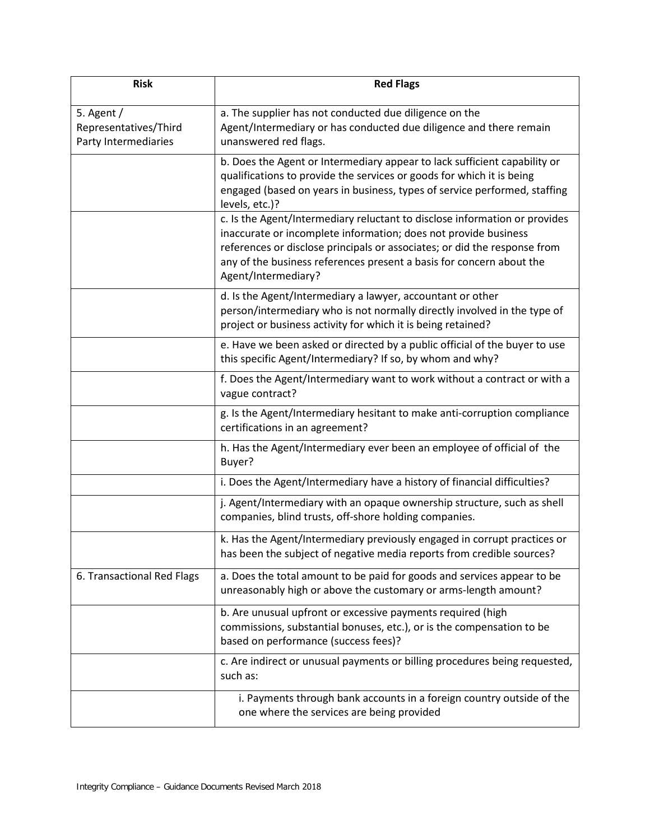| <b>Risk</b>                                                   | <b>Red Flags</b>                                                                                                                                                                                                                                                                                                          |
|---------------------------------------------------------------|---------------------------------------------------------------------------------------------------------------------------------------------------------------------------------------------------------------------------------------------------------------------------------------------------------------------------|
| 5. Agent $/$<br>Representatives/Third<br>Party Intermediaries | a. The supplier has not conducted due diligence on the<br>Agent/Intermediary or has conducted due diligence and there remain<br>unanswered red flags.                                                                                                                                                                     |
|                                                               | b. Does the Agent or Intermediary appear to lack sufficient capability or<br>qualifications to provide the services or goods for which it is being<br>engaged (based on years in business, types of service performed, staffing<br>levels, etc.)?                                                                         |
|                                                               | c. Is the Agent/Intermediary reluctant to disclose information or provides<br>inaccurate or incomplete information; does not provide business<br>references or disclose principals or associates; or did the response from<br>any of the business references present a basis for concern about the<br>Agent/Intermediary? |
|                                                               | d. Is the Agent/Intermediary a lawyer, accountant or other<br>person/intermediary who is not normally directly involved in the type of<br>project or business activity for which it is being retained?                                                                                                                    |
|                                                               | e. Have we been asked or directed by a public official of the buyer to use<br>this specific Agent/Intermediary? If so, by whom and why?                                                                                                                                                                                   |
|                                                               | f. Does the Agent/Intermediary want to work without a contract or with a<br>vague contract?                                                                                                                                                                                                                               |
|                                                               | g. Is the Agent/Intermediary hesitant to make anti-corruption compliance<br>certifications in an agreement?                                                                                                                                                                                                               |
|                                                               | h. Has the Agent/Intermediary ever been an employee of official of the<br>Buyer?                                                                                                                                                                                                                                          |
|                                                               | i. Does the Agent/Intermediary have a history of financial difficulties?                                                                                                                                                                                                                                                  |
|                                                               | j. Agent/Intermediary with an opaque ownership structure, such as shell<br>companies, blind trusts, off-shore holding companies.                                                                                                                                                                                          |
|                                                               | k. Has the Agent/Intermediary previously engaged in corrupt practices or<br>has been the subject of negative media reports from credible sources?                                                                                                                                                                         |
| 6. Transactional Red Flags                                    | a. Does the total amount to be paid for goods and services appear to be<br>unreasonably high or above the customary or arms-length amount?                                                                                                                                                                                |
|                                                               | b. Are unusual upfront or excessive payments required (high<br>commissions, substantial bonuses, etc.), or is the compensation to be<br>based on performance (success fees)?                                                                                                                                              |
|                                                               | c. Are indirect or unusual payments or billing procedures being requested,<br>such as:                                                                                                                                                                                                                                    |
|                                                               | i. Payments through bank accounts in a foreign country outside of the<br>one where the services are being provided                                                                                                                                                                                                        |